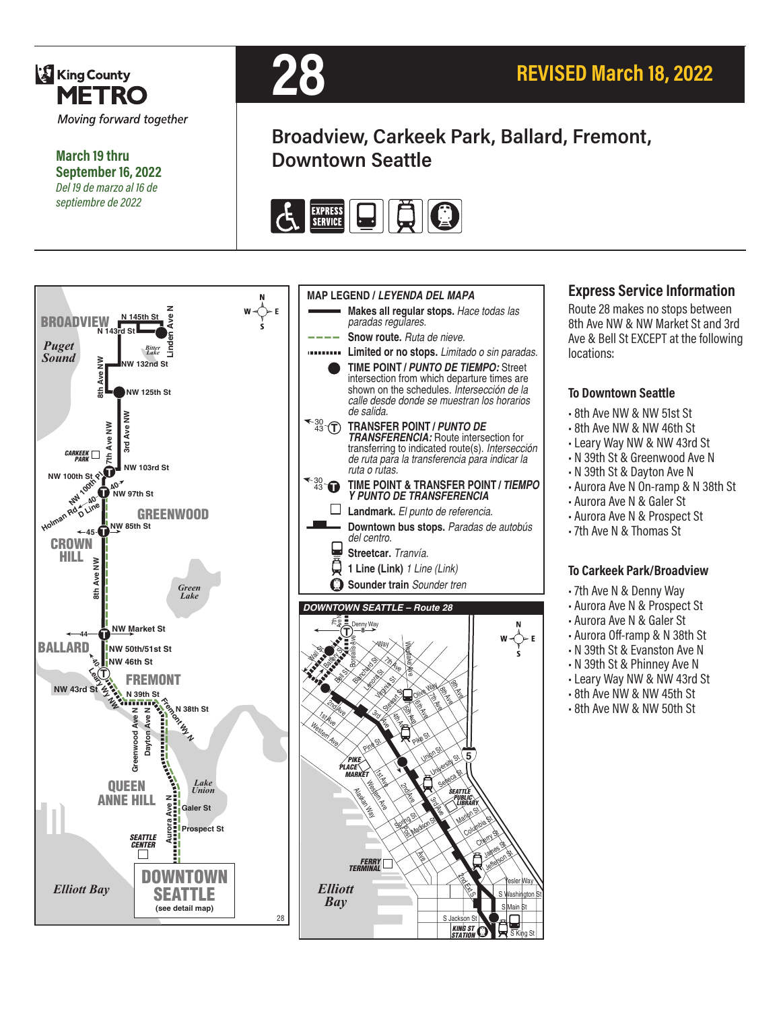

**March 19 thru September 16, 2022** *Del 19 de marzo al 16 de septiembre de 2022*



# **Broadview, Carkeek Park, Ballard, Fremont, Downtown Seattle**





#### **Express Service Information**

Route 28 makes no stops between 8th Ave NW & NW Market St and 3rd Ave & Bell St EXCEPT at the following locations:

#### **To Downtown Seattle**

- 8th Ave NW & NW 51st St
- 8th Ave NW & NW 46th St
- •Leary Way NW & NW 43rd St
- N 39th St & Greenwood Ave N
- N 39th St & Dayton Ave N
- Aurora Ave N On-ramp & N 38th St
- Aurora Ave N & Galer St
- Aurora Ave N & Prospect St
- 7th Ave N & Thomas St

#### **To Carkeek Park/Broadview**

- 7th Ave N & Denny Way
- Aurora Ave N & Prospect St
- Aurora Ave N & Galer St
- Aurora Off-ramp & N 38th St
- N 39th St & Evanston Ave N
- N 39th St & Phinney Ave N
- •Leary Way NW & NW 43rd St
- 8th Ave NW & NW 45th St
- 8th Ave NW & NW 50th St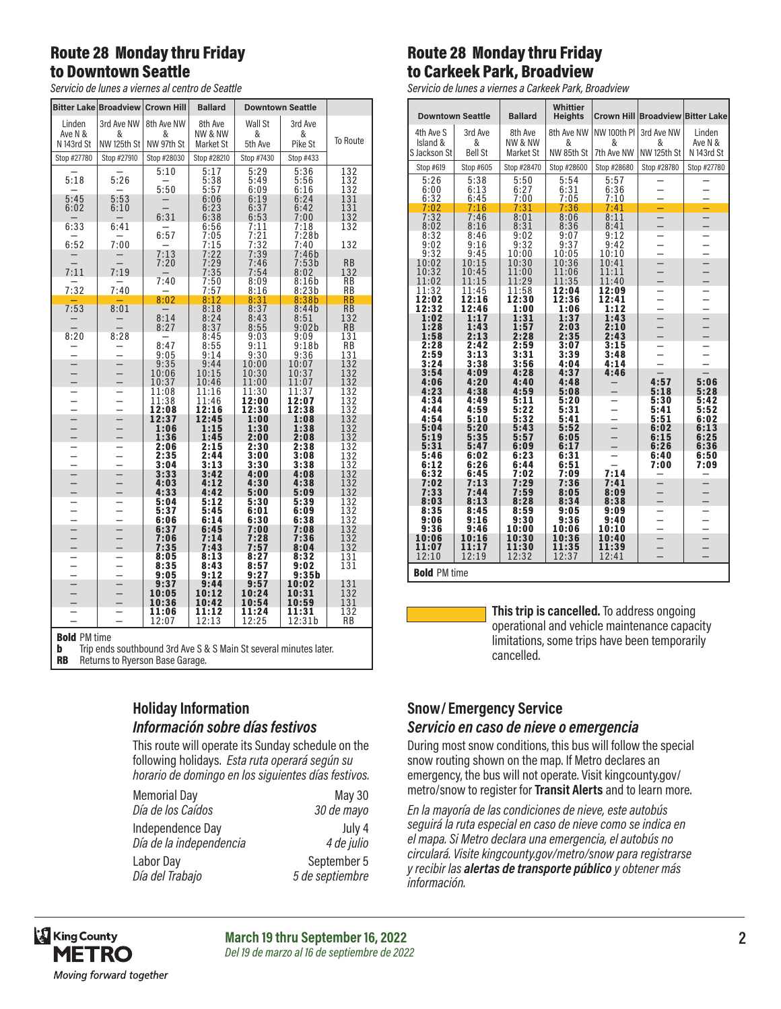### Route 28 Monday thru Friday to Downtown Seattle

*Servicio de lunes a viernes al centro de Seattle*

|                                                                        |                  | <b>Bitter Lake Broadview Crown Hill</b> | <b>Ballard</b>       |                | <b>Downtown Seattle</b> |                                               |
|------------------------------------------------------------------------|------------------|-----------------------------------------|----------------------|----------------|-------------------------|-----------------------------------------------|
| Linden                                                                 | 3rd Ave NW       | 8th Ave NW                              | 8th Ave              | Wall St        | 3rd Ave                 |                                               |
| Ave N &<br>N 143rd St                                                  | &<br>NW 125th St | &<br>NW 97th St                         | NW & NW<br>Market St | &<br>5th Ave   | &<br>Pike St            | To Route                                      |
| Stop #27780                                                            | Stop #27910      | Stop #28030                             | Stop #28210          | Stop #7430     | Stop #433               |                                               |
|                                                                        |                  | 5:10                                    | 5:17                 | 5:29           | 5:36                    | 132                                           |
| 5:18                                                                   | 5:26             | 5:50                                    | 5:38<br>5:57         | 5:49<br>6:09   | 5:56<br>6:16            | 132<br>132                                    |
| 5:45<br>6:02                                                           | 5:53<br>6:10     |                                         | 6:06<br>6:23         | 6:19<br>6:37   | 6:24<br>6:42            | 131<br>131                                    |
|                                                                        |                  | 6:31                                    | 6:38                 | 6:53           | 7:00                    | 132                                           |
| 6:33                                                                   | 6:41             | 6:57                                    | 6:56<br>7:05         | 7:11<br>7:21   | 7:18<br>7:28b           | 132                                           |
| 6:52                                                                   | 7:00             |                                         | 7:15                 | 7:32           | 7:40                    | 132                                           |
|                                                                        |                  | 7:13<br>7:20                            | 7:22<br>7:29         | 7:39<br>7:46   | 7:46b<br>7:53b          | <b>RB</b>                                     |
| 7:11                                                                   | 7:19             |                                         | 7:35                 | 7:54           | 8:02                    | 132                                           |
| 7:32                                                                   | 7:40             | 7:40                                    | 7:50<br>7:57         | 8:09<br>8:16   | 8:16b<br>8:23b          | RB<br>RB                                      |
| 7:53                                                                   |                  | 8:02                                    | 8:12<br>8:18         | 8:31           | 8:38b                   | RB                                            |
|                                                                        | 8:01             | 8:14                                    | 8:24                 | 8:37<br>8:43   | 8:44b<br>8:51           | <b>RB</b><br>132                              |
| 8:20                                                                   | 8:28             | 8:27                                    | 8:37<br>8:45         | 8:55<br>9:03   | 9:02b<br>9:09           | RB<br>131                                     |
|                                                                        |                  | 8:47                                    | 8:55                 | 9:11           | 9:18b                   | <b>RB</b>                                     |
|                                                                        |                  | 9:05                                    | 9:14<br>9:44         | 9:30<br>10:00  | 9:36<br>10:07           | 131                                           |
| $\frac{1}{1}$                                                          |                  | 9:35<br>10:06                           | 10:15                | 10:30          | 10:37                   | 132<br>132                                    |
|                                                                        |                  | 10:37<br>11:08                          | 10:46<br>11:16       | 11:00<br>11:30 | 11:07<br>11:37          | 132<br>132                                    |
| $\overline{a}$                                                         |                  | 11:38                                   | 11:46                | 12:00          | 12:07                   | 132                                           |
|                                                                        |                  | 12:08<br>12:37                          | 12:16<br>12:45       | 12:30<br>1:00  | 12:38<br>1:08           | $\overline{1}\overline{3}\overline{2}$<br>132 |
| $\frac{1}{2}$                                                          |                  | 1:06                                    | 1:15                 | 1:30           | 1:38                    | $\frac{1}{1}$ $\frac{3}{2}$                   |
|                                                                        |                  | 1:36<br>2:06                            | 1:45<br>2:15         | 2:00<br>2:30   | 2:08<br>2:38            |                                               |
| $\equiv$                                                               |                  | 2:35<br>3:04                            | 2:44<br>3:13         | 3:00<br>3:30   | 3:08<br>3:38            | 132<br>132<br>132                             |
|                                                                        |                  | 3:33                                    | 3:42                 | 4:00           | 4:08                    | 132                                           |
|                                                                        |                  | 4:03<br>4:33                            | 4:12<br>4:42         | 4:30<br>5:00   | 4:38<br>5:09            | 132<br>132                                    |
|                                                                        |                  | 5:04                                    | 5:12                 | 5:30           | 5:39                    | 132                                           |
| $\frac{-}{1}$                                                          |                  | 5:37<br>6:06                            | 5:45<br>6:14         | 6:01<br>6:30   | 6:09<br>6:38            | 132<br>132                                    |
|                                                                        | $\frac{1}{1}$    | 6:37                                    | 6:45                 | 7:00           | 7:08                    | 132<br>132                                    |
|                                                                        |                  | 7:06<br>7:35                            | 7:14<br>7:43         | 7:28<br>7:57   | 7:36<br>8:04            | 132                                           |
|                                                                        |                  | 8:05                                    | 8:13                 | 8:27           | 8:32                    | 131                                           |
|                                                                        |                  | 8:35<br>9:05                            | 8:43<br>9:12         | 8:57<br>9:27   | 9:02<br>9:35b           | 131                                           |
| $\overline{a}$                                                         |                  | 9:37                                    | 9:44                 | 9:57           | 10:02                   | 131                                           |
|                                                                        |                  | 10:05<br>10:36                          | 10:12<br>10:42       | 10:24<br>10:54 | 10:31<br>10:59          | 132<br>131                                    |
|                                                                        |                  | 11:06<br>12:07                          | 11:12<br>12:13       | 11:24<br>12:25 | 11:31<br>12:31b         | 132<br>RB                                     |
| <b>Bold PM time</b>                                                    |                  |                                         |                      |                |                         |                                               |
| Trip ends southbound 3rd Ave S & S Main St several minutes later.<br>b |                  |                                         |                      |                |                         |                                               |
| DD<br>Doturne to Duarcan Race Carago                                   |                  |                                         |                      |                |                         |                                               |

**RB** Returns to Ryerson Base Garage.

## Route 28 Monday thru Friday to Carkeek Park, Broadview

*Servicio de lunes a viernes a Carkeek Park, Broadview*

|                     | <b>Downtown Seattle</b> | <b>Ballard</b>     | <b>Whittier</b><br><b>Heights</b> | Crown Hill     |                    | <b>Broadview Bitter Lake</b>                         |
|---------------------|-------------------------|--------------------|-----------------------------------|----------------|--------------------|------------------------------------------------------|
| 4th Ave S           | 3rd Ave                 | 8th Ave            | 8th Ave NW                        | NW 100th PI    | 3rd Ave NW         | Linden                                               |
| Island &            | &                       | <b>NW &amp; NW</b> | &                                 | &              | &                  | Ave N &                                              |
| S Jackson St        | <b>Bell St</b>          | Market St          | NW 85th St                        | 7th Ave NW     | <b>NW 125th St</b> | N 143rd St                                           |
| Stop #619           | Stop #605               | Stop #28470        | Stop #28600                       | Stop #28680    | Stop #28780        | Stop #27780                                          |
| 5:26                | 5:38                    | 5:50               | 5:54                              | 5:57           |                    |                                                      |
| 6:00                | 6:13                    | 6:27               | 6:31                              | 6:36           |                    |                                                      |
| 6:32                | 6:45                    | 7:00               | 7:05                              | 7:10           |                    |                                                      |
| 7:02<br>7:32        | 7:16<br>7:46            | 7:31<br>8:01       | 7:36<br>8:06                      | 7:41<br>8:11   |                    | —                                                    |
| 8:02                | 8:16                    | 8:31               | 8:36                              | 8:41           |                    | $\overline{\phantom{0}}$                             |
| 8:32                | 8:46                    | 9:02               | 9:07                              | 9:12           |                    |                                                      |
| 9:02                | 9:16                    | 9:32               | 9:37                              | 9:42           |                    |                                                      |
| 9:32                | 9:45                    | 10:00              | 10:05                             | 10:10          |                    |                                                      |
| 10:02<br>10:32      | 10:15<br>10:45          | 10:30<br>11:00     | 10:36<br>11:06                    | 10:41<br>11:11 |                    | $\overline{\phantom{0}}$                             |
| 11:02               | 11:15                   | 11:29              | 11:35                             | 11:40          |                    | $\overline{\phantom{0}}$                             |
| 11:32               | 11:45                   | 11:58              | 12:04                             | 12:09          |                    |                                                      |
| 12:02               | 12:16                   | 12:30              | 12:36                             | 12:41          |                    | $\overline{\phantom{0}}$                             |
| 12:32               | 12:46                   | 1:00               | 1:06                              | 1:12           |                    | -                                                    |
| 1:02<br>1:28        | 1:17<br>1:43            | 1:31<br>1:57       | 1:37<br>2:03                      | 1:43<br>2:10   |                    | $\overline{\phantom{0}}$<br>$\overline{\phantom{0}}$ |
| 1:58                | 2:13                    | 2:28               | 2:35                              | 2:43           |                    | $\overline{\phantom{0}}$                             |
| 2:28                | 2:42                    | 2:59               | 3:07                              | 3:15           |                    |                                                      |
| 2:59                | 3:13                    | 3:31               | 3:39                              | 3:48           |                    |                                                      |
| 3:24                | 3:38                    | 3:56               | 4:04                              | 4:14           |                    |                                                      |
| 3:54<br>4:06        | 4:09<br>4:20            | 4:28<br>4:40       | 4:37<br>4:48                      | 4:46           | 4:57               | 5:06                                                 |
| 4:23                | 4:38                    | 4:59               | 5:08                              |                | 5:18               | 5:28                                                 |
| 4:34                | 4:49                    | 5:11               | 5:20                              |                | 5:30               | 5:42                                                 |
| 4:44                | 4:59                    | 5:22               | 5:31                              | ▃              | 5:41               | 5:52                                                 |
| 4:54                | 5:10                    | 5:32               | 5:41                              |                | 5:51               | 6:02                                                 |
| 5:04<br>5:19        | 5:20<br>5:35            | 5:43<br>5:57       | 5:52<br>6:05                      |                | 6:02<br>6:15       | 6:13<br>6:25                                         |
| 5:31                | 5:47                    | 6:09               | 6:17                              |                | 6:26               | 6:36                                                 |
| 5:46                | 6:02                    | 6:23               | 6:31                              |                | 6:40               | 6:50                                                 |
| 6:12                | 6:26                    | 6:44               | 6:51                              |                | 7:00               | 7:09                                                 |
| 6:32                | 6:45                    | 7:02               | 7:09                              | 7:14           |                    |                                                      |
| 7:02                | 7:13<br>7:44            | 7:29               | 7:36                              | 7:41           |                    |                                                      |
| 7:33<br>8:03        | 8:13                    | 7:59<br>8:28       | 8:05<br>8:34                      | 8:09<br>8:38   |                    |                                                      |
| 8:35                | 8:45                    | 8:59               | 9:05                              | 9:09           |                    | —                                                    |
| 9:06                | 9:16                    | 9:30               | 9:36                              | 9:40           |                    |                                                      |
| 9:36                | 9:46                    | 10:00              | 10:06                             | 10:10          |                    | $\overline{\phantom{0}}$                             |
| 10:06               | 10:16                   | 10:30              | 10:36                             | 10:40          |                    |                                                      |
| 11:07<br>12:10      | 11:17<br>12:19          | 11:30<br>12:32     | 11:35<br>12:37                    | 11:39<br>12:41 |                    |                                                      |
|                     |                         |                    |                                   |                |                    |                                                      |
| <b>Bold PM time</b> |                         |                    |                                   |                |                    |                                                      |

**This trip is cancelled.** To address ongoing operational and vehicle maintenance capacity limitations, some trips have been temporarily cancelled.

#### **Holiday Information** *Información sobre días festivos*

This route will operate its Sunday schedule on the following holidays. *Esta ruta operará según su horario de domingo en los siguientes días festivos.*

| <b>Memorial Day</b>     | May 30          |
|-------------------------|-----------------|
| Día de los Caídos       | 30 de mayo      |
| Independence Day        | July 4          |
| Día de la independencia | 4 de julio      |
| Labor Day               | September 5     |
| Día del Trabajo         | 5 de septiembre |

#### **Snow/ Emergency Service**  *Servicio en caso de nieve o emergencia*

#### During most snow conditions, this bus will follow the special snow routing shown on the map. If Metro declares an emergency, the bus will not operate. Visit kingcounty.gov/ metro/snow to register for **Transit Alerts** and to learn more.

*En la mayoría de las condiciones de nieve, este autobús seguirá la ruta especial en caso de nieve como se indica en el mapa. Si Metro declara una emergencia, el autobús no circulará. Visite kingcounty.gov/metro/snow para registrarse y recibir las alertas de transporte público y obtener más información.*



**March 19 thru September 16, 2022 2** *Del 19 de marzo al 16 de septiembre de 2022*